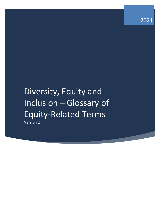2021

# Diversity, Equity and Inclusion – Glossary of Equity-Related Terms Version 2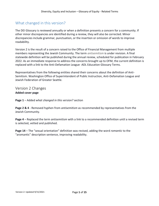# What changed in this version?

The DEI Glossary is reviewed annually or when a definition presents a concern for a community. If other minor discrepancies are identified during a review, they will also be corrected. Minor discrepancies include grammar, punctuation, or the insertion or omission of words to improve readability.

Version 2 is the result of a concern raised to the Office of Financial Management from multiple members representing the Jewish Community. The term *antisemitism* is under revision. A final statewide definition will be published during the annual review, scheduled for publication in February 2022. As an immediate response to address the concerns brought up to OFM, the current definition is replaced with a link to the Anti-Defamation League -ADL Education Glossary Terms.

Representatives from the following entities shared their concerns about the definition of Anti-Semitism. Washington Office of Superintendent of Public Instruction, Anti-Defamation League and Jewish Federation of Greater Seattle.

#### Version 2 Changes **Added cover page**

**Page 1** – Added *what changed in this version?* section

**Page 2 & 4** - Removed hyphen from *antisemitism* as recommended by representatives from the Jewish Community.

**Page 4** – Replaced the term *antisemitism* with a link to a recommended definition until a revised term is selected, vetted and published.

**Page 14** – The "sexual orientation" definition was revised, adding the word *romantic* to the "aromantic" description sentence, improving readability.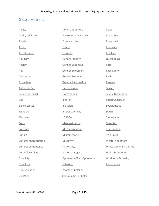# Glossary Terms

| Ability                       | Dominant Culture             | Power                         |
|-------------------------------|------------------------------|-------------------------------|
| Ability privilege             | <b>Environmental Justice</b> | Power-over                    |
| Ableism                       | Ethnocentrism                | Power-with                    |
| <b>Access</b>                 | Equity                       | Prejudice                     |
| Acculturation                 | Ethnicity                    | <b>Privilege</b>              |
| <b>Adultism</b>               | Gender Identity              | Questioning                   |
| <b>Ageism</b>                 | Gender-Expansive             | Race                          |
| Ally                          | <b>Gender Expression</b>     | Race Equity                   |
| Antisemitism                  | Gender Pronouns              | Racism                        |
| Assimilate                    | <b>Genetic Information</b>   | Respect                       |
| Authentic-Self                | Heterosexism                 | Sexism                        |
| <b>Belonging (ness)</b>       | Homophobia                   | Sexual Orientation            |
| <b>Bias</b>                   | Identity                     | Social Construct              |
| <b>Biological Sex</b>         | Inclusion                    | Social Justice                |
| Biphobia                      | Intersectionality            | SOGIE                         |
| Classism                      | LGBTQ+                       | Stereotype                    |
| Color                         | Marginalization              | Tokenism                      |
| Colorism                      | Microaggression              | Transphobia                   |
| Culture                       | <b>Military Status</b>       | Two-Spirit                    |
| <b>Cultural Appropriation</b> | Misogyny                     | Western-centrism              |
| <b>Cultural Competence</b>    | Nationality                  | <b>White Dominant Culture</b> |
| <b>Cultural Humility</b>      | National Origin              | <b>White Supremacy</b>        |
| Disability                    | Oppression/Anti-Oppression   | <b>Workforce Diversity</b>    |
| Disablism                     | Othering                     | <b>Xenophobia</b>             |
| Discrimination                | People of Color or           |                               |
| Diversity                     | <b>Communities of Color</b>  |                               |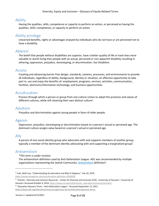## Ability

<span id="page-3-0"></span>Having the qualities, skills, competence or capacity to perform an action, or perceived as having the qualities, skills, competence, or capacity to perform an action.

# Ability privilege

<span id="page-3-1"></span>Unearned benefits, rights or advantages enjoyed by individuals who do not have or are perceived not to have a disability.

## Ableism

<span id="page-3-2"></span>The belief that people without disabilities are superior, have a better quality of life or have lives more valuable or worth living than people with an actual, perceived or non-apparent disability resulting in othering, oppression, prejudice, stereotyping, or discrimination. *See Disablism.*

#### Access

<span id="page-3-3"></span>Creating and advancing barrier-free design, standards, systems, processes, and environments to provide all individuals, regardless of ability, background, identity or situation, an effective opportunity to take part in, use and enjoy the benefits of: employment, programs, services, activities, communication, facilities, electronic/information technology, and business opportunities.

## Acculturation

<span id="page-3-4"></span>Process through which a person or group from one culture comes to adopt the practices and values of different cultures, while still retaining their own distinct culture<sup>1</sup>.

## Adultism

<span id="page-3-5"></span>Prejudice and discrimination against young people in favor of older people.

## Ageism

<span id="page-3-6"></span>Oppression, prejudice, stereotyping or discrimination based on a person's actual or perceived age. The dominant culture assigns value based on a person's actual or perceived age.

#### Ally

A person of one social identity group who advocates with and supports members of another group; typically a member of the dominant identity advocating with and supporting a marginalized group<sup>2</sup>.

#### <span id="page-3-7"></span>Antisemitism

*\*This term is under revision.*

The antisemitism definition used by Anti-Defamation League -ADL was recommended by multiple organizations representing the Jewish Community. **Antisemitism** definition<sup>3</sup>.

 $^1$  Cole, Nicki Lisa. "Understanding Acculturation and Why It Happens," July 18, 2019. [https://www.thoughtco.com/acculturation-definition-3026039.](https://www.thoughtco.com/acculturation-definition-3026039)

<sup>&</sup>lt;sup>2</sup> "Articles - Diversity and Inclusion Resources - Center for Diversity and Inclusion (CDI) - University of Houston." University of Houston. Accessed October 9, 2019. [https://www.uh.edu/cdi/diversity\\_education/resources/articles/.](https://www.uh.edu/cdi/diversity_education/resources/articles/)

<sup>&</sup>lt;sup>3</sup> "Education Glossary Terms - Anti-Defamation League." Accessed September 15, 2021.

<https://www.adl.org/education/resources/glossary-terms/education-glossary-terms>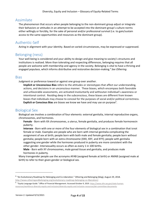## Assimilate

The phenomenon that occurs when people belonging to the non-dominant group adjust or integrate their behaviors or attitudes in an attempt to be accepted into the dominant group's culture norms either willingly or forcibly, for the sake of personal and/or professional survival (i.e. to gain/sustain access to the same opportunities and resources as the dominant group).

# Authentic-Self

Acting in alignment with your identity. Based on varied circumstances, may be expressed or suppressed.

# Belonging (ness)

Your well-being is considered and your ability to design and give meaning to society's structures and institutions is realized. More than tolerating and respecting differences, belonging requires that all people are welcome with membership and agency in the society. Belonging is vital to have a thriving and engaged populace, which informs distributive and restorative decision-making.<sup>4</sup> See Othering.

#### **Bias**

Judgment or preference toward or against one group over another.

**Implicit or Unconscious Bias** refers to the attitudes or stereotypes that affect our understanding, actions, and decisions in an unconscious manner. These biases, which encompass both favorable and unfavorable assessments, are activated involuntarily and withoutan individual's awareness or intentional control. Residing deep in the subconscious, these biases are different from known biases that individuals may choose to conceal for the purposes of social and/or political correctness. **Explicit or Conscious Bias** are biases we know we have and may use on purpose<sup>5</sup> .

# Biological Sex

Biological sex involves a combination of four elements: external genitalia, internal reproductive organs, chromosomes, and hormones.

**Female** - Born with XX chromosomes, a uterus, female genitalia, and produces female hormonesin puberty.

**Intersex** - Born with one or more of the four elements of biological sex in a combination that isnot female or male. Examples are people who are born with internal genitalia complicating the assignment of sex at birth; people born with both male and female genitalia; people born without genitalia; people born with an extra chromosome (XXX, XXY, and XYY); people with genitalia suggesting one gender while the hormones produced in puberty are more consistent with the other gender. Intersexuality occurs as often as every 1 in 100 births.

**Male** - Born with XY chromosomes, male gonad tissue and genitalia, and produces male hormones in puberty.

<span id="page-4-0"></span>Many transgender people use the acronyms AFAB (assigned female at birth) or AMAB (assigned male at birth) to refer to their given gender or biological sex.

<sup>&</sup>lt;sup>4</sup> "An Evolutionary Roadmap for Belonging and Co-Liberation." Othering and Belonging (blog), August 29, 2018. [http://www.otheringandbelonging.org/evolutionary-roadmap-belonging-co-liberation/.](http://www.otheringandbelonging.org/evolutionary-roadmap-belonging-co-liberation/)

<sup>5 &</sup>quot;Equity Language Guide." Office of Financial Management. Accessed October 9, 2019. [https://www.ofm.wa.gov/state-human](https://www.ofm.wa.gov/state-human-resources/workforce-diversity-equity-and-inclusion/diversity-equity-and-inclusion-resources/dei-committee-documents)[resources/workforce-diversity-equity-and-inclusion/diversity-equity-and-inclusion-resources/dei-committee-documents.](https://www.ofm.wa.gov/state-human-resources/workforce-diversity-equity-and-inclusion/diversity-equity-and-inclusion-resources/dei-committee-documents)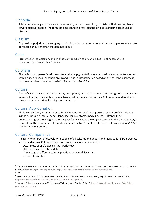## Biphobia

<span id="page-5-1"></span><span id="page-5-0"></span>A term for fear, anger, intolerance, resentment, hatred, discomfort, or mistrust that one may have toward bisexual people. The term can also connote a fear, disgust, or dislike of being perceived as bisexual.

## Classism

<span id="page-5-2"></span>Oppression, prejudice, stereotyping, or discrimination based on a person's actual or perceived class to advantage and strengthen the dominant class.

## Color

<span id="page-5-3"></span>Pigmentation, complexion, or skin shade or tone. Skin color can be, but it not necessarily, a characteristic of race<sup>6</sup> . *See Colorism*.

## Colorism

<span id="page-5-4"></span>The belief that a person's skin color, tone, shade, pigmentation, or complexion is superior to another's within a specific racial or ethnic group and includes discrimination based on the perceived lightness, darkness or other color characteristic of a person<sup>7</sup>. See Color.

#### **Culture**

<span id="page-5-5"></span>A set of values, beliefs, customs, norms, perceptions, and experiences shared by a group of people. An individual may identify with or belong to many different cultural groups. Culture is passed to others through communication, learning, and imitation.

## Cultural Appropriation

Theft, exploitation, or mimicry of cultural elements for one's own personal use or profit – including symbols, dress, art, music, dance, language, land, customs, medicine, etc. – often without understanding, acknowledgment, or respect for its value in the original culture. In the United States, it results from the assumption of a white dominant culture's right to take other cultural elements<sup>8, 9</sup>. See *White-Dominant Culture.*

## Cultural Competence

An ability to interact effectively with people of all cultures and understand many cultural frameworks, values, and norms. Cultural competence comprises four components:

<span id="page-5-6"></span>Awareness of one's own cultural worldview, Attitude towards cultural differences, Knowledge of different cultural practices and worldviews, and Cross-cultural skills.

<sup>&</sup>lt;sup>6</sup> "What Is the Difference between 'Race' Discrimination and 'Color' Discrimination?" Greenwald Doherty LLP. Accessed October 9, 2019. [http://www.greenwaldllp.com/law-clips/difference-race-discrimination-color-discrimination/.](http://www.greenwaldllp.com/law-clips/difference-race-discrimination-color-discrimination/)  $<sup>7</sup>$  Ibid.</sup>

<sup>&</sup>lt;sup>8</sup> Resistance, Colours of. "Colours of Resistance Archive." Colours of Resistance Archive (blog). Accessed October 9, 2019. [http://www.coloursofresistance.org/definitions/cultural-appropriation/.](http://www.coloursofresistance.org/definitions/cultural-appropriation/)

<sup>&</sup>lt;sup>9</sup> "What Is Cultural Appropriation?" Philosophy Talk. Accessed October 9, 2019. [https://www.philosophytalk.org/blog/what](https://www.philosophytalk.org/blog/what-cultural-appropriation)[cultural-appropriation.](https://www.philosophytalk.org/blog/what-cultural-appropriation)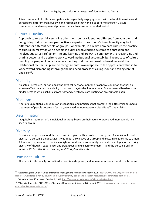<span id="page-6-0"></span>A key component of cultural competence is respectfully engaging others with cultural dimensions and perceptions different from our own and recognizing that none is superior to another. Cultural competence is a developmental process that evolves over an extended period.

# Cultural Humility

Approach to respectfully engaging others with cultural identities different from your own and recognizing that no cultural perspective is superior to another. Cultural humility may look different for different people or groups. For example, in a white dominant culture the practice of cultural humility for white people includes acknowledging systems of oppression and involves critical self-reflection, lifelong learning and growth, a commitment to recognizing and sharing power, and a desire to work toward institutional accountability. The practice of cultural humility for people of color includes accepting that the dominant culture does exist, that institutional racism is in place, to recognize one's own response to the oppression within it, to work toward dismantling it through the balanced process of calling it out and taking care of one's self $^{10}$ .

## <span id="page-6-1"></span>**Disability**

<span id="page-6-2"></span>An actual, perceived, or non-apparent physical, sensory, mental, or cognitive condition that has an adverse effect on a person's ability to carry out day-to-day life functions. Environmental barriers may hinder persons with disabilities from fully and effectively participating on an equitable basis.

## Disablism

<span id="page-6-3"></span>A set of assumptions (conscious or unconscious) and practices that promote the differential or unequal treatment of people because of actual, perceived, or non-apparent disabilities<sup>11</sup>. See Ableism.

# Discrimination

<span id="page-6-4"></span>Inequitable treatment of an individual or group based on their actual or perceived membership in a specific group.

#### **Diversity**

Describes the presence of differences within a given setting, collective, or group. An individual is not diverse – a person is unique. Diversity is about a collective or a group and exists in relationship to others. A team, an organization, a family, a neighborhood, and a community can be diverse. A person can bring diversity of thought, experience, and trait, (seen and unseen) to a team — and the person is still an individual<sup>12</sup> . S*ee Workforce Diversity and Workplace Diversity.*

# Dominant Culture

The most institutionally normalized power, is widespread, and influential across societal structures and

<sup>&</sup>lt;sup>10</sup> "Equity Language Guide." Office of Financial Management. Accessed October 9, 2019. [https://www.ofm.wa.gov/state-human](https://www.ofm.wa.gov/state-human-resources/workforce-diversity-equity-and-inclusion/diversity-equity-and-inclusion-resources/dei-committee-documents)[resources/workforce-diversity-equity-and-inclusion/diversity-equity-and-inclusion-resources/dei-committee-documents.](https://www.ofm.wa.gov/state-human-resources/workforce-diversity-equity-and-inclusion/diversity-equity-and-inclusion-resources/dei-committee-documents)

<sup>&</sup>lt;sup>11</sup> "What Is Ableism?" Accessed October 9, 2019[. http://www.stopableism.org/p/what-is-ableism.html.](http://www.stopableism.org/p/what-is-ableism.html)

<sup>12</sup> "Diversity & Inclusion." U.S. Office of Personnel Management. Accessed October 9, 2019. [https://www.opm.gov/policy-data](https://www.opm.gov/policy-data-oversight/diversity-and-inclusion/)[oversight/diversity-and-inclusion/.](https://www.opm.gov/policy-data-oversight/diversity-and-inclusion/)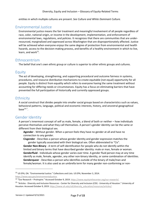entities in which multiple cultures are present. *See Culture and White Dominant Culture.*

#### Environmental Justice

Environmental justice means the fair treatment and meaningful involvement of all people regardless of race, color, national origin, or income in the development, implementation, and enforcement of environmental laws, regulations, and policies. It recognizes that there are communities that are underresourced, marginalized and oppressed across Washington that are disproportionately affected. Justice will be achieved when everyone enjoys the same degree of protection from environmental and health hazards, access to the decision-making process, and benefits of a healthy environment in which to live, learn, and work $^{13}$ .

#### Ethnocentrism

<span id="page-7-1"></span><span id="page-7-0"></span>The belief that one's own ethnic group or culture is superior to other ethnic groups and cultures.

#### Equity

The act of developing, strengthening, and supporting procedural and outcome fairness in systems, procedures, and resource distribution mechanisms to create equitable (not equal) opportunity for all people. Equity is distinct from equality which refers to everyone having the same treatment without accounting for differing needs or circumstances. Equity has a focus on eliminating barriers that have prevented the full participation of historically and currently oppressed groups.

#### **Ethnicity**

<span id="page-7-3"></span><span id="page-7-2"></span>A social construct that divides people into smaller social groups based on characteristics such as values, behavioral patterns, language, political and economic interests, history, and ancestral geographical base $^{14,15}$ .

## Gender Identity

A person's innermost concept of self as male, female, a blend of both or neither – how individuals perceive themselves and what they call themselves. A person's gender identity can be the same or different from their biological sex.

**Agender** - Without gender. When a person feels they have no gender at all and have no connection to any gender.

**Cisgender** - Describes a person whose gender identity and gender expression matches the gender typically associated with their biological sex. Often abbreviated to "Cis".

**Gender Non-Binary** - A term of self-identification for people who do not identify within the limited and binary terms that have described gender identity: male or man, female or woman. **Genderfluid** - Individuals whose gender varies over time. A gender fluid person may at any time identify as male, female, agender, any other non-binary identity, or some combination of identities. **Genderqueer** - Describes a person who identifies outside of the binary of male/man and female/woman. It is also used as an umbrella term for many gender non-conforming or non-

<sup>&</sup>lt;sup>13</sup> US EPA, OA. "Environmental Justice." Collections and Lists. US EPA, November 3, 2014. [https://www.epa.gov/environmentaljustice.](https://www.epa.gov/environmentaljustice)

<sup>&</sup>lt;sup>14</sup> "Our Research – ProInspire." Accessed October 9, 2019. [https://www.equityinthecenter.org/our-research/.](https://www.equityinthecenter.org/our-research/)

<sup>&</sup>lt;sup>15</sup> "Articles - Diversity and Inclusion Resources - Center for Diversity and Inclusion (CDI) - University of Houston." University of Houston. Accessed October 9, 2019. [https://www.uh.edu/cdi/diversity\\_education/resources/articles/.](https://www.uh.edu/cdi/diversity_education/resources/articles/)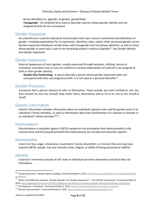binary identities (i.e. agender, bi-gender, genderfluid).

<span id="page-8-0"></span>**Transgender** - An umbrella term used to describe a person whose gender identity and sex assigned at birth do not correspond.

#### Gender-Expansive

An umbrella term used for individuals that broaden their own culture's commonly held definitions of gender, including expectations for its expression, identities, roles, and/or other perceived gender norms. Gender-expansive individuals include those with transgender and non-binary identities, as well as those whose gender in some way is seen to be stretching society's notions of gender<sup>16</sup>. Se*e Gender Identity and Gender Expression.*

#### Gender Expression

<span id="page-8-1"></span>External appearance of one's gender, usually expressed through behavior, clothing, haircut or intonation, and which may or may not conform to societal expectations of a person's sex assigned at birth or their gender identity.

<span id="page-8-2"></span>**Gender Non-Conforming** - A way to describe a person whose gender expression does not correspond with their sex assigned at birth. It is not used as a personal identifier<sup>17</sup>.

#### Gender Pronouns

<span id="page-8-3"></span>A pronoun that a person chooses to refer to themselves. These include, but aren't limited to: she, her, hers, herself; he, him, his, himself; they, them, theirs, themselves; and ze, hir or zir, hirs or zirs, hirself or zirself.

## Genetic Information

<span id="page-8-4"></span>Genetic information includes information about an individual's genetic tests and the genetic tests of an individual's family members, as well as information about the manifestation of a disease or disorder in an individual's family members<sup>18,19</sup>.

#### Heterosexism

<span id="page-8-5"></span>Discrimination or prejudice against LGBTQ+ people on the assumption that heterosexuality is the cultural norm and the prejudiced belief that heterosexuals are socially and culturally superior.

## Homophobia

<span id="page-8-6"></span>A term for fear, anger, intolerance, resentment, hatred, discomfort, or mistrust that one may have toward LGBTQ+ people. Can also connote a fear, disgust, or dislike of being perceived as LGBTQ+.

#### **Identity**

<span id="page-8-7"></span>A person's innermost concept of self. How an individual perceives themselves and what they call themselves.

<sup>&</sup>lt;sup>16</sup> "Gender-Expansive." Gender Spectrum (blog). Accessed October 9, 2019. [https://www.genderspectrum.org/glossary/gender](https://www.genderspectrum.org/glossary/gender-expansive/)[expansive/.](https://www.genderspectrum.org/glossary/gender-expansive/)

<sup>&</sup>lt;sup>17</sup> "What's the Difference between 'Gender Identity' and 'Gender Expression'? – The LGBTQ+ Experiment." Accessed October 9, 2019. [https://lgbtqexperiment.com/2018/11/08/whats-the-difference-between-gender-identity-and-gender-expression/.](https://lgbtqexperiment.com/2018/11/08/whats-the-difference-between-gender-identity-and-gender-expression/)

<sup>18</sup> "Our Research – ProInspire." Accessed October 9, 2019. [https://www.equityinthecenter.org/our-research/.](https://www.equityinthecenter.org/our-research/)

<sup>&</sup>lt;sup>19</sup> "Genetic Discrimination." Accessed October 9, 2019[. https://www.eeoc.gov/laws/types/genetic.cfm.](https://www.eeoc.gov/laws/types/genetic.cfm)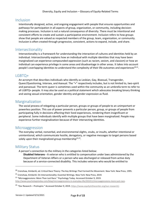#### Inclusion

Intentionally designed, active, and ongoing engagement with people that ensures opportunities and pathways for participation in all aspects of group, organization, or community, including decisionmaking processes. Inclusion is not a natural consequence of diversity. There must be intentional and consistent efforts to create and sustain a participative environment. Inclusion refers to how groups show that people are valued as respected members of the group, team, organization, or community. Inclusion is often created through progressive, consistent, actions to expand, include, and share.

# **Intersectionality**

<span id="page-9-0"></span>Intersectionality is a framework for understanding the interaction of cultures and identities held by an individual. Intersectionality explains how an individual with multiple identities that may have been marginalized can experience compounded oppression (such as racism, sexism, and classism) or how an individual can experience privilege in some areas and disadvantage in other areas. It takes into account people's overlapping identities to understand the complexity of their life outcomes and experiences<sup>20,21</sup>.

#### LGBTQ+

<span id="page-9-1"></span>An acronym that describes individuals who identify as Lesbian, Gay, Bisexual, Transgender, Queer/Questioning, Intersex, and Asexual. The "+" respectively includes, but is not limited to, two-spirit and pansexual. The term queer is sometimes used within the community as an umbrella term to refer to all LGBTQ+ people. It may also be used as a political statement which advocates breaking binary thinking and seeing sexual orientation, gender identity and gender expression as fluid.

## Marginalization

<span id="page-9-2"></span>The social process of relegating a particular person, groups or groups of people to an unimportant or powerless position. This use of power prevents a particular person, group, or groups of people from participating fully in decisions affecting their lived experiences, rendering them insignificant or peripheral. Some individuals identify with multiple groups that have been marginalized. People may experience further marginalization because of their intersecting identities.

## Microaggression

<span id="page-9-3"></span>The everyday verbal, nonverbal, and environmental slights, snubs, or insults, whether intentional or unintentional, which communicate hostile, derogatory, or negative messages to target persons based solely upon their marginalized group membership<sup>22,23</sup>.

## Military Status

A person's connection to the military in the categories listed below:

<span id="page-9-4"></span>**Disabled Veterans -** A veteran who is entitled to compensation under laws administered by the Department of Veteran Affairs or a person who was discharged or released from active duty because of a service-connected disability. This includes veterans who would be entitled to

<sup>&</sup>lt;sup>20</sup> Crenshaw, Kimberlé, ed. Critical Race Theory: The Key Writings That Formed the Movement. New York: New Press, 1995.

<sup>&</sup>lt;sup>21</sup> Crenshaw, Kimberlé. On Intersectionality: Essential Writings. New York: New Press, 2019.

 $22$  "Microaggressions: More Than Just Race." Psychology Today. Accessed October 9, 2019.

[http://www.psychologytoday.com/blog/microaggressions-in-everyday-life/201011/microaggressions-more-just-race.](http://www.psychologytoday.com/blog/microaggressions-in-everyday-life/201011/microaggressions-more-just-race)

<sup>&</sup>lt;sup>23</sup> "Our Research – ProInspire." Accessed October 9, 2019. [https://www.equityinthecenter.org/our-research/.](https://www.equityinthecenter.org/our-research/)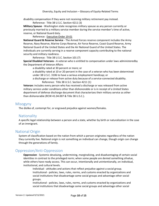disability compensation if they were not receiving military retirement pay instead.

Reference: Title 38 U.S.C. Section 4211 (3)

**Military Spouse** - Washington state recognizes military spouse as any person currently or previously married to a military service member during the service member's time of active, reserve, or National Guard duty.

Reference: [Executive](https://www.governor.wa.gov/sites/default/files/exe_order/19-01_VeteranAndMilitaryFamily%20.pdf) Order 19-01

**National Guard & Reserve Service** - The Armed Forces reserve component includes the Army Reserve, Navy Reserve, Marine Corps Reserve, Air Force Reserve, Coast Guard Reserve, Army National Guard of the United States and the Air National Guard of the United States. The individuals are currently serving in a reserve component capacity contributing to the national security and military readiness.

Reference: Title 38 U.S.C. Section 101 (7)

**Special Disabled Veterans -** A veteran who is entitled to compensation under laws administeredby the Department of Veteran Affairs

a disability rated at 30 percent or more; or

a disability rated at 10 or 20 percent in the case of a veteran who has been determined under 38 U.S.C. 3106 to have a serious employment handicap; or

<span id="page-10-1"></span><span id="page-10-0"></span>a discharge or release from active duty because of a service-connected disability. Reference: Title 38 U.S.C. Section 4211 (1)

**Veteran:** includes every person who has received a discharge or was released from active military service under conditions other than dishonorable or is in receipt of a United States department of defense discharge document that characterizes their military service as other than dishonorable (RCW 41.04.007 & Title 38 U.S.C.).

#### Misogyny

The dislike of, contempt for, or engraved prejudice against women/females.

#### **Nationality**

<span id="page-10-2"></span>A specific legal relationship between a person and a state, whether by birth or naturalization in the case of an immigrant.

#### National Origin

System of classification based on the nation from which a person originates regardless of the nation they currently live. National origin is not something an individual can change, though origin can change through the generations of family.

## Oppression/Anti-Oppression

**Oppression** - Systemic devaluing, undermining, marginalizing, and disadvantaging of certain social identities in contrast to the privileged norm; when some people are denied something ofvalue, while others have ready access. This can occur, intentionally and unintentionally, on individual, institutional, and cultural levels.

<span id="page-10-3"></span>Individual - attitudes and actions that reflect prejudice against a social group. Institutional - policies, laws, rules, norms, and customs enacted by organizations and social institutions that disadvantage some social groups and advantage other social groups.

Institutional - policies, laws, rules, norms, and customs enacted by organizations and social institutions that disadvantage some social groups and advantage other social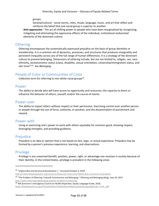groups.

<span id="page-11-5"></span>Societal/cultural - social norms, roles, rituals, language, music, and art that reflect and reinforce the belief that one social group is superior to another.

**Anti-oppression -** The act of shifting power to people who have been marginalized by recognizing, mitigating and eliminating the oppressive effects of the individual, institutional andsocietal elements of the dominant culture.

#### **Othering**

Othering encompasses the systematically expressed prejudice on the basis of group identities or membership. It is a common set of dynamics, processes, and structures that produces marginality and persistent inequality across any of the full range of human differences. It is a strategy of the dominant culture to prevent belonging. Dimensions of othering include, but are not limited to, religion, sex, race, ethnicity, socioeconomic status (class), disability, sexual orientation, citizenship/immigration status, and skin tone24,25 . *See Belonging.*

# People of Color or Communities of Color

<span id="page-11-6"></span><span id="page-11-0"></span>Collective term for referring to non-white racial groups<sup>26</sup>.

#### Power

<span id="page-11-1"></span>The ability to decide who will have access to opportunity and resources; the capacity to direct or influence the behavior of others, oneself, and/or the course of events.

#### Power-over

<span id="page-11-2"></span>The ability to impact others without respect or their permission. Exercising control over another person or people through the use of force, authority, or position, and the dissemination of punishment and reward.

#### Power-with

<span id="page-11-3"></span>Using or exercising one's power to work with others equitably for common good, showing respect, leveraging strengths, and providing guidance.

#### Prejudice

<span id="page-11-4"></span>Prejudice is an idea or opinion that is not based on fact, logic, or actual experience. Prejudice may be formed by a person's previous experience, learning, and observations.

## Privilege

Privilege is any unearned benefit, position, power, right, or advantage one receives in society because of their identity. In the United States, privilege is prevalent in the following areas:

<sup>&</sup>lt;sup>24</sup> "Implicit Bias and Structural Racialization |." Accessed October 9, 2019.

[https://nationalequityproject.org/resources/featured-resources/implicit-bias-structural-racialization.](https://nationalequityproject.org/resources/featured-resources/implicit-bias-structural-racialization)

<sup>&</sup>lt;sup>25</sup> "The Problem of Othering: Towards Inclusiveness and Belonging." Othering and Belonging (blog), June 29, 2017. [http://www.otheringandbelonging.org/the-problem-of-othering/.](http://www.otheringandbelonging.org/the-problem-of-othering/)

<sup>&</sup>lt;sup>26</sup> WA Governor's Interagency Council on Health Disparities, Equity Language Guide, 2018,

[https://healthequity.wa.gov/Portals/9/Doc/Publications/Reports/EquityLanguageGuide\\_Final\\_.pdf](https://healthequity.wa.gov/Portals/9/Doc/Publications/Reports/EquityLanguageGuide_Final_.pdf)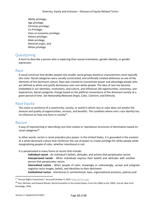Ability privilege; Age privilege; Christian privilege; Cis Privilege; Class or economic privilege; Hetero privilege; Male privilege; National origin; and White privilege.

## Questioning

<span id="page-12-1"></span><span id="page-12-0"></span>A term to describe a person who is exploring their sexual orientation, gender identity, or gender expression.

#### Race

A social construct that divides people into smaller social groups based on characteristics most typically skin color. Racial categories were socially constructed, and artificially created whiteness as one of the elements of the dominant culture. Race was created to concentrate power and advantage people who are defined as white and justify dominance over non-white people. The idea of race has become embedded in our identities, institutions, and culture, and influences life opportunities, outcomes, and experiences. Racial categories change based on the political convenience of the dominant society at a given period of time. *See Nationality/National Origin, Color, Colorism, and Ethnicity.*

#### Race Equity

<span id="page-12-3"></span><span id="page-12-2"></span>The vision or existence of a community, society, or world in which race or color does not predict the amount and quality of opportunities, services, and benefits. The condition where one's race identity has no influence on how one fares in society<sup>27</sup>.

## Racism

A way of representing or describing race that creates or reproduces structures of domination based on racial categories<sup>28</sup>.

In other words, racism is racial prejudice plus power. In the United States, it is grounded in the creation of a white dominant culture that reinforces the use of power to create privilege for white people while marginalizing people of color, whether intentional or not.

It is perpetuated in many forms of racism that include:

**Individual racism** - An individual's beliefs, attitudes, and actions that perpetuates racism. **Interpersonal racism** - When individuals express their beliefs and attitudes with another person that perpetuates racism.

**Internalized racism** - When people of color, knowingly or unknowingly, accept and integrate negative racist images, beliefs, and identities to their detriment.

**Institutional racism** - Intentional or unintentional, laws, organizational practices, policies,and

<sup>&</sup>lt;sup>27</sup> "Human Rights Commission." Accessed October 9, 2019. [https://sf-hrc.org/.](https://sf-hrc.org/)

<sup>&</sup>lt;sup>28</sup> Omi, Michael, and Howard Winant. Racial Formation in the United States: From the 1960s to the 1990s. 2nd ed. New York: Routledge, 1994.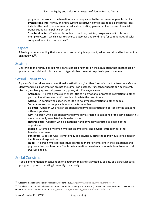programs that work to the benefit of white people and to the detriment of people ofcolor. **Systemic racism**: The way an entire system collectively contributes to racial inequities. This includes the health, environmental, education, justice, government, economic, financial, transportation, and political systems.

**Structural racism** - The interplay of laws, practices, policies, programs, and institutions of multiple systems, which leads to adverse outcomes and conditions for communities of color compared to white communities<sup>29</sup>.

#### <span id="page-13-0"></span>Respect

<span id="page-13-1"></span>A feeling or understanding that someone or something is important, valued and should be treated in a dignified way<sup>30</sup>.

#### Sexism

Discrimination or prejudice against a particular sex or gender on the assumption that another sex or gender is the social and cultural norm. It typically has the most negative impact on women.

## Sexual Orientation

A person's physical, romantic, emotional, aesthetic, and/or other form of attraction to others. Gender identity and sexual orientation are not the same. For instance, transgender people can be straight, bisexual, lesbian, gay, asexual, pansexual, queer, etc., like anyone else.

<span id="page-13-2"></span>**Aromantic** - A person who experiences little to no emotional or romantic attraction to other people. Sometimes aromantic people abbreviate the term to Ace.

**Asexual** - A person who experiences little to no physical attraction to other people. Sometimes asexual people abbreviate the term to Ace.

**Bisexual** - A person who has an emotional and physical attraction to persons of the sameand different genders.

**Gay** - A person who is emotionally and physically attracted to someone of the same gender.It is more commonly associated with males or men.

**Heterosexua**l - A person who is emotionally and physically attracted to people of the opposite sex.

**Lesbian** - A female or woman who has an emotional and physical attraction for other females or women.

**Pansexual** - A person who is emotionally and physically attracted to individuals of all gender identities and expressions.

<span id="page-13-4"></span><span id="page-13-3"></span>**Queer** - A person who expresses fluid identities and/or orientations in their emotional and physical attraction to others. The term is sometimes used as an umbrella term to refer to all LGBTQ+ people.

#### Social Construct

A social phenomenon or convention originating within and cultivated by society or a particular social group, as opposed to existing inherently or naturally.

<sup>&</sup>lt;sup>29</sup> "Glossary--Racial Equity Tools." Accessed October 9, 2019. [https://www.racialequitytools.org/glossary.](https://www.racialequitytools.org/glossary)

<sup>&</sup>lt;sup>30</sup> "Articles - Diversity and Inclusion Resources - Center for Diversity and Inclusion (CDI) - University of Houston." University of Houston. Accessed October 9, 2019. [https://www.uh.edu/cdi/diversity\\_education/resources/articles/.](https://www.uh.edu/cdi/diversity_education/resources/articles/)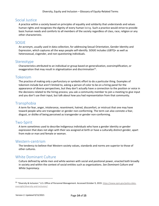#### Social Justice

<span id="page-14-0"></span>A practice within a society based on principles of equality and solidarity that understands and values human rights and recognizes the dignity of every human being. Such a practice would strive to provide basic human needs and comforts to all members of the society regardless of class, race, religion or any other characteristic.

## SOGIE

An acronym, usually used in data collection, for addressing Sexual Orientation, Gender Identity and Expression, which captures all the ways people self-identify. SOGIE includes LGBTQ+ as well as heterosexual, cisgender, and non-questioning individuals.

#### <span id="page-14-1"></span>Stereotype

<span id="page-14-2"></span>Characteristics attributed to an individual or group based on generalization, oversimplification, or exaggeration that may result in stigmatization and discrimination $^{31}$ .

#### Tokenism

The practice of making only a perfunctory or symbolic effort to do a particular thing. Examples of tokenism include but aren't limited to, asking a person of color to be on a hiring panel for the appearance of diverse perspectives, but they don't actually have a connection to the position or voice in the decisions related to the hiring process; you ask a community member to join a meeting to give input and you don't use their input, but talk about how you had representation from that community.

#### Transphobia

<span id="page-14-4"></span><span id="page-14-3"></span>A term for fear, anger, intolerance, resentment, hatred, discomfort, or mistrust that one may have toward people who are transgender or gender non-conforming. The term can also connote a fear, disgust, or dislike of being perceived as transgender or gender non-conforming.

# Two-Spirit

<span id="page-14-5"></span>A term sometimes used to describe Indigenous individuals who have a gender identity or gender expression that does not align with their sex assigned at birth or have a culturally distinct gender, apart from male or man and female or woman.

#### Western-centrism

<span id="page-14-6"></span>The tendency to believe that Western society values, standards and norms are superior to those of other cultures.

# White Dominant Culture

<span id="page-14-7"></span>Culture defined by white men and white women with social and positional power, enacted both broadly in society and within the context of social entities such as organizations. *See Dominant Culture and White Supremacy.*

<sup>31 &</sup>quot;Diversity & Inclusion." U.S. Office of Personnel Management. Accessed October 9, 2019. [https://www.opm.gov/policy-data](https://www.opm.gov/policy-data-oversight/diversity-and-inclusion/)[oversight/diversity-and-inclusion/.](https://www.opm.gov/policy-data-oversight/diversity-and-inclusion/)